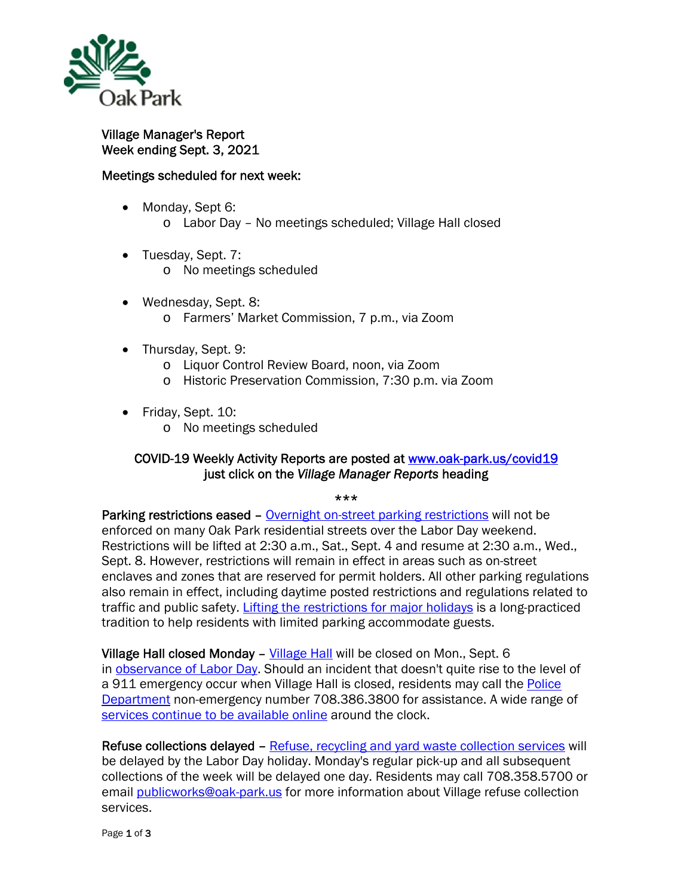

Village Manager's Report Week ending Sept. 3, 2021

## Meetings scheduled for next week:

- Monday, Sept 6: o Labor Day – No meetings scheduled; Village Hall closed
- Tuesday, Sept. 7:
	- o No meetings scheduled
- Wednesday, Sept. 8: o Farmers' Market Commission, 7 p.m., via Zoom
- Thursday, Sept. 9:
	- o Liquor Control Review Board, noon, via Zoom
	- o Historic Preservation Commission, 7:30 p.m. via Zoom
- Friday, Sept. 10:
	- o No meetings scheduled

## COVID-19 Weekly Activity Reports are posted at www.oak-park.us/covid19 just click on the *Village Manager Reports* heading

\*\*\*

Parking restrictions eased – Overnight on-street parking restrictions will not be enforced on many Oak Park residential streets over the Labor Day weekend. Restrictions will be lifted at 2:30 a.m., Sat., Sept. 4 and resume at 2:30 a.m., Wed., Sept. 8. However, restrictions will remain in effect in areas such as on-street enclaves and zones that are reserved for permit holders. All other parking regulations also remain in effect, including daytime posted restrictions and regulations related to traffic and public safety. Lifting the restrictions for major holidays is a long-practiced tradition to help residents with limited parking accommodate guests.

Village Hall closed Monday - Village Hall will be closed on Mon., Sept. 6 in observance of Labor Day. Should an incident that doesn't quite rise to the level of a 911 emergency occur when Village Hall is closed, residents may call the Police Department non-emergency number 708.386.3800 for assistance. A wide range of services continue to be available online around the clock.

Refuse collections delayed – Refuse, recycling and yard waste collection services will be delayed by the Labor Day holiday. Monday's regular pick-up and all subsequent collections of the week will be delayed one day. Residents may call 708.358.5700 or email publicworks@oak-park.us for more information about Village refuse collection services.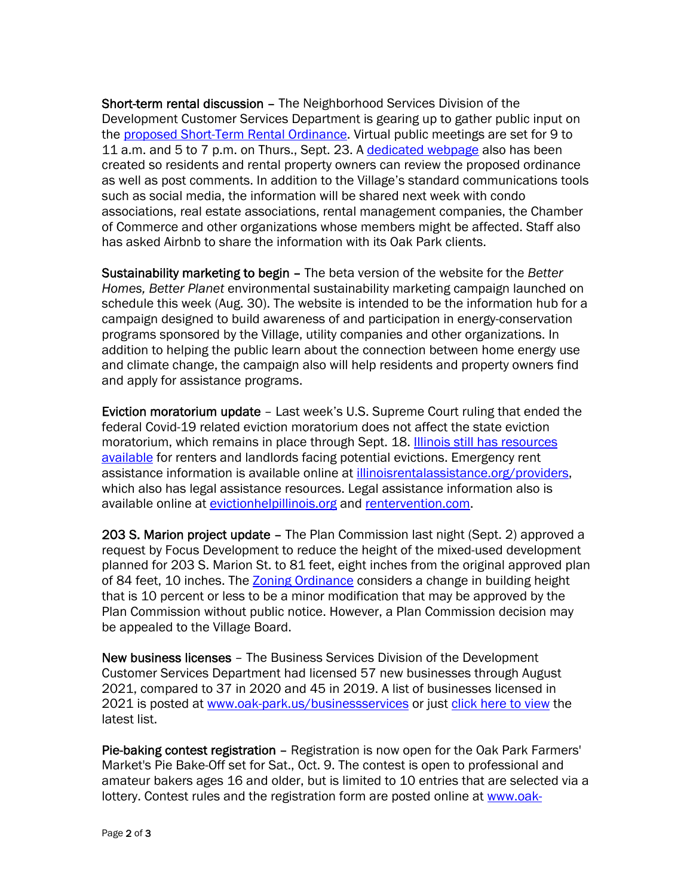Short-term rental discussion – The Neighborhood Services Division of the Development Customer Services Department is gearing up to gather public input on the proposed Short-Term Rental Ordinance. Virtual public meetings are set for 9 to 11 a.m. and 5 to 7 p.m. on Thurs., Sept. 23. A dedicated webpage also has been created so residents and rental property owners can review the proposed ordinance as well as post comments. In addition to the Village's standard communications tools such as social media, the information will be shared next week with condo associations, real estate associations, rental management companies, the Chamber of Commerce and other organizations whose members might be affected. Staff also has asked Airbnb to share the information with its Oak Park clients.

Sustainability marketing to begin – The beta version of the website for the *Better Homes, Better Planet* environmental sustainability marketing campaign launched on schedule this week (Aug. 30). The website is intended to be the information hub for a campaign designed to build awareness of and participation in energy-conservation programs sponsored by the Village, utility companies and other organizations. In addition to helping the public learn about the connection between home energy use and climate change, the campaign also will help residents and property owners find and apply for assistance programs.

Eviction moratorium update – Last week's U.S. Supreme Court ruling that ended the federal Covid-19 related eviction moratorium does not affect the state eviction moratorium, which remains in place through Sept. 18. Illinois still has resources available for renters and landlords facing potential evictions. Emergency rent assistance information is available online at illinoisrentalassistance.org/providers, which also has legal assistance resources. Legal assistance information also is available online at evictionhelpillinois.org and rentervention.com.

203 S. Marion project update - The Plan Commission last night (Sept. 2) approved a request by Focus Development to reduce the height of the mixed-used development planned for 203 S. Marion St. to 81 feet, eight inches from the original approved plan of 84 feet, 10 inches. The Zoning Ordinance considers a change in building height that is 10 percent or less to be a minor modification that may be approved by the Plan Commission without public notice. However, a Plan Commission decision may be appealed to the Village Board.

New business licenses – The Business Services Division of the Development Customer Services Department had licensed 57 new businesses through August 2021, compared to 37 in 2020 and 45 in 2019. A list of businesses licensed in 2021 is posted at www.oak-park.us/businessservices or just click here to view the latest list.

Pie-baking contest registration – Registration is now open for the Oak Park Farmers' Market's Pie Bake-Off set for Sat., Oct. 9. The contest is open to professional and amateur bakers ages 16 and older, but is limited to 10 entries that are selected via a lottery. Contest rules and the registration form are posted online at www.oak